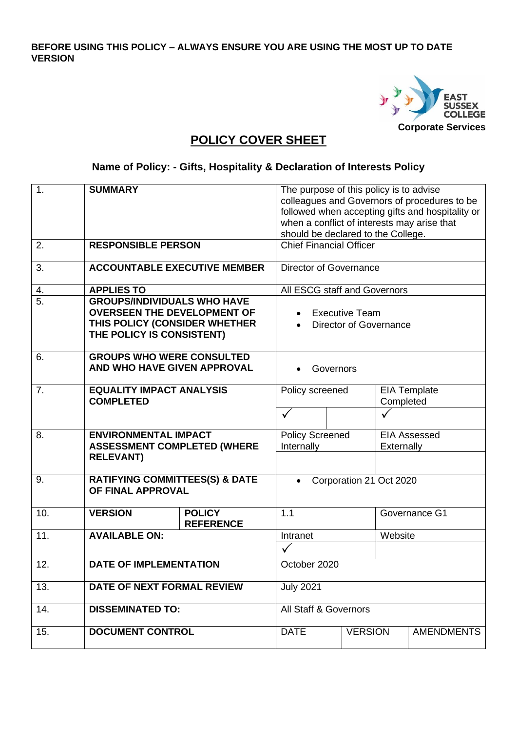**BEFORE USING THIS POLICY – ALWAYS ENSURE YOU ARE USING THE MOST UP TO DATE VERSION**



## **POLICY COVER SHEET**

**Name of Policy: - Gifts, Hospitality & Declaration of Interests Policy**

| 1.  | <b>SUMMARY</b>                                                                                                                         |                                   | The purpose of this policy is to advise<br>when a conflict of interests may arise that<br>should be declared to the College. |                                                 |            | colleagues and Governors of procedures to be<br>followed when accepting gifts and hospitality or |
|-----|----------------------------------------------------------------------------------------------------------------------------------------|-----------------------------------|------------------------------------------------------------------------------------------------------------------------------|-------------------------------------------------|------------|--------------------------------------------------------------------------------------------------|
| 2.  | <b>RESPONSIBLE PERSON</b>                                                                                                              |                                   | <b>Chief Financial Officer</b>                                                                                               |                                                 |            |                                                                                                  |
| 3.  | <b>ACCOUNTABLE EXECUTIVE MEMBER</b>                                                                                                    |                                   | Director of Governance                                                                                                       |                                                 |            |                                                                                                  |
| 4.  | <b>APPLIES TO</b>                                                                                                                      |                                   | All ESCG staff and Governors                                                                                                 |                                                 |            |                                                                                                  |
| 5.  | <b>GROUPS/INDIVIDUALS WHO HAVE</b><br><b>OVERSEEN THE DEVELOPMENT OF</b><br>THIS POLICY (CONSIDER WHETHER<br>THE POLICY IS CONSISTENT) |                                   |                                                                                                                              | <b>Executive Team</b><br>Director of Governance |            |                                                                                                  |
| 6.  | <b>GROUPS WHO WERE CONSULTED</b><br>AND WHO HAVE GIVEN APPROVAL                                                                        |                                   |                                                                                                                              | Governors                                       |            |                                                                                                  |
| 7.  | <b>EQUALITY IMPACT ANALYSIS</b><br><b>COMPLETED</b>                                                                                    |                                   | Policy screened                                                                                                              |                                                 | Completed  | <b>EIA Template</b>                                                                              |
|     |                                                                                                                                        |                                   |                                                                                                                              |                                                 |            |                                                                                                  |
| 8.  | <b>ENVIRONMENTAL IMPACT</b>                                                                                                            |                                   | <b>Policy Screened</b>                                                                                                       |                                                 |            | <b>EIA Assessed</b>                                                                              |
|     | <b>ASSESSMENT COMPLETED (WHERE</b><br><b>RELEVANT)</b>                                                                                 |                                   | Internally                                                                                                                   |                                                 | Externally |                                                                                                  |
| 9.  | <b>RATIFYING COMMITTEES(S) &amp; DATE</b><br>OF FINAL APPROVAL                                                                         |                                   |                                                                                                                              | Corporation 21 Oct 2020                         |            |                                                                                                  |
| 10. | <b>VERSION</b>                                                                                                                         | <b>POLICY</b><br><b>REFERENCE</b> | 1.1                                                                                                                          |                                                 |            | Governance G1                                                                                    |
| 11. | <b>AVAILABLE ON:</b>                                                                                                                   |                                   | Intranet                                                                                                                     |                                                 | Website    |                                                                                                  |
|     |                                                                                                                                        |                                   |                                                                                                                              |                                                 |            |                                                                                                  |
| 12. | <b>DATE OF IMPLEMENTATION</b>                                                                                                          |                                   | October 2020                                                                                                                 |                                                 |            |                                                                                                  |
| 13. | DATE OF NEXT FORMAL REVIEW                                                                                                             |                                   | <b>July 2021</b>                                                                                                             |                                                 |            |                                                                                                  |
| 14. | <b>DISSEMINATED TO:</b>                                                                                                                |                                   | <b>All Staff &amp; Governors</b>                                                                                             |                                                 |            |                                                                                                  |
| 15. | <b>DOCUMENT CONTROL</b>                                                                                                                |                                   | <b>DATE</b>                                                                                                                  | <b>VERSION</b>                                  |            | <b>AMENDMENTS</b>                                                                                |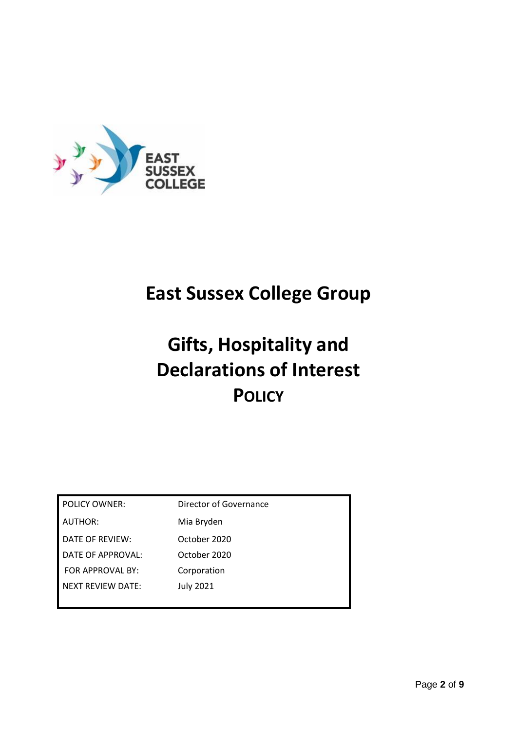

# **East Sussex College Group**

# **Gifts, Hospitality and Declarations of Interest POLICY**

| <b>POLICY OWNER:</b>     | Director of Governance |
|--------------------------|------------------------|
| AUTHOR:                  | Mia Bryden             |
| DATE OF REVIEW:          | October 2020           |
| DATE OF APPROVAL:        | October 2020           |
| FOR APPROVAL BY:         | Corporation            |
| <b>NEXT REVIEW DATE:</b> | <b>July 2021</b>       |
|                          |                        |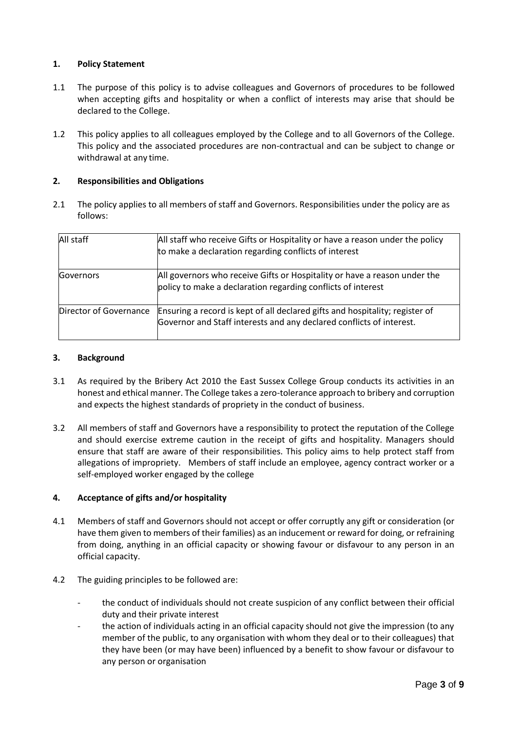#### **1. Policy Statement**

- 1.1 The purpose of this policy is to advise colleagues and Governors of procedures to be followed when accepting gifts and hospitality or when a conflict of interests may arise that should be declared to the College.
- 1.2 This policy applies to all colleagues employed by the College and to all Governors of the College. This policy and the associated procedures are non-contractual and can be subject to change or withdrawal at any time.

#### **2. Responsibilities and Obligations**

2.1 The policy applies to all members of staff and Governors. Responsibilities under the policy are as follows:

| All staff              | All staff who receive Gifts or Hospitality or have a reason under the policy<br>to make a declaration regarding conflicts of interest                |
|------------------------|------------------------------------------------------------------------------------------------------------------------------------------------------|
| Governors              | All governors who receive Gifts or Hospitality or have a reason under the<br>policy to make a declaration regarding conflicts of interest            |
| Director of Governance | Ensuring a record is kept of all declared gifts and hospitality; register of<br>Governor and Staff interests and any declared conflicts of interest. |

#### **3. Background**

- 3.1 As required by the Bribery Act 2010 the East Sussex College Group conducts its activities in an honest and ethical manner. The College takes a zero-tolerance approach to bribery and corruption and expects the highest standards of propriety in the conduct of business.
- 3.2 All members of staff and Governors have a responsibility to protect the reputation of the College and should exercise extreme caution in the receipt of gifts and hospitality. Managers should ensure that staff are aware of their responsibilities. This policy aims to help protect staff from allegations of impropriety. Members of staff include an employee, agency contract worker or a self-employed worker engaged by the college

#### **4. Acceptance of gifts and/or hospitality**

- 4.1 Members of staff and Governors should not accept or offer corruptly any gift or consideration (or have them given to members of their families) as an inducement or reward for doing, or refraining from doing, anything in an official capacity or showing favour or disfavour to any person in an official capacity.
- 4.2 The guiding principles to be followed are:
	- the conduct of individuals should not create suspicion of any conflict between their official duty and their private interest
	- the action of individuals acting in an official capacity should not give the impression (to any member of the public, to any organisation with whom they deal or to their colleagues) that they have been (or may have been) influenced by a benefit to show favour or disfavour to any person or organisation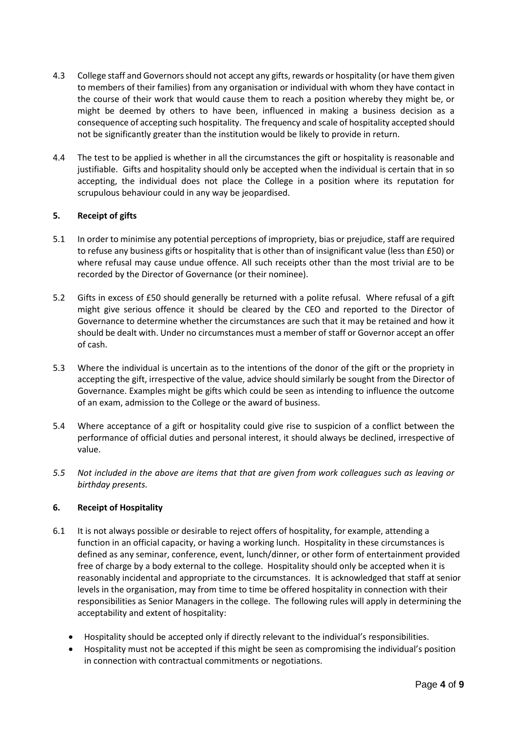- 4.3 College staff and Governors should not accept any gifts, rewards or hospitality (or have them given to members of their families) from any organisation or individual with whom they have contact in the course of their work that would cause them to reach a position whereby they might be, or might be deemed by others to have been, influenced in making a business decision as a consequence of accepting such hospitality. The frequency and scale of hospitality accepted should not be significantly greater than the institution would be likely to provide in return.
- 4.4 The test to be applied is whether in all the circumstances the gift or hospitality is reasonable and justifiable. Gifts and hospitality should only be accepted when the individual is certain that in so accepting, the individual does not place the College in a position where its reputation for scrupulous behaviour could in any way be jeopardised.

#### **5. Receipt of gifts**

- 5.1 In order to minimise any potential perceptions of impropriety, bias or prejudice, staff are required to refuse any business gifts or hospitality that is other than of insignificant value (less than £50) or where refusal may cause undue offence. All such receipts other than the most trivial are to be recorded by the Director of Governance (or their nominee).
- 5.2 Gifts in excess of £50 should generally be returned with a polite refusal. Where refusal of a gift might give serious offence it should be cleared by the CEO and reported to the Director of Governance to determine whether the circumstances are such that it may be retained and how it should be dealt with. Under no circumstances must a member of staff or Governor accept an offer of cash.
- 5.3 Where the individual is uncertain as to the intentions of the donor of the gift or the propriety in accepting the gift, irrespective of the value, advice should similarly be sought from the Director of Governance. Examples might be gifts which could be seen as intending to influence the outcome of an exam, admission to the College or the award of business.
- 5.4 Where acceptance of a gift or hospitality could give rise to suspicion of a conflict between the performance of official duties and personal interest, it should always be declined, irrespective of value.
- *5.5 Not included in the above are items that that are given from work colleagues such as leaving or birthday presents.*

#### **6. Receipt of Hospitality**

- 6.1 It is not always possible or desirable to reject offers of hospitality, for example, attending a function in an official capacity, or having a working lunch. Hospitality in these circumstances is defined as any seminar, conference, event, lunch/dinner, or other form of entertainment provided free of charge by a body external to the college. Hospitality should only be accepted when it is reasonably incidental and appropriate to the circumstances. It is acknowledged that staff at senior levels in the organisation, may from time to time be offered hospitality in connection with their responsibilities as Senior Managers in the college. The following rules will apply in determining the acceptability and extent of hospitality:
	- Hospitality should be accepted only if directly relevant to the individual's responsibilities.
	- Hospitality must not be accepted if this might be seen as compromising the individual's position in connection with contractual commitments or negotiations.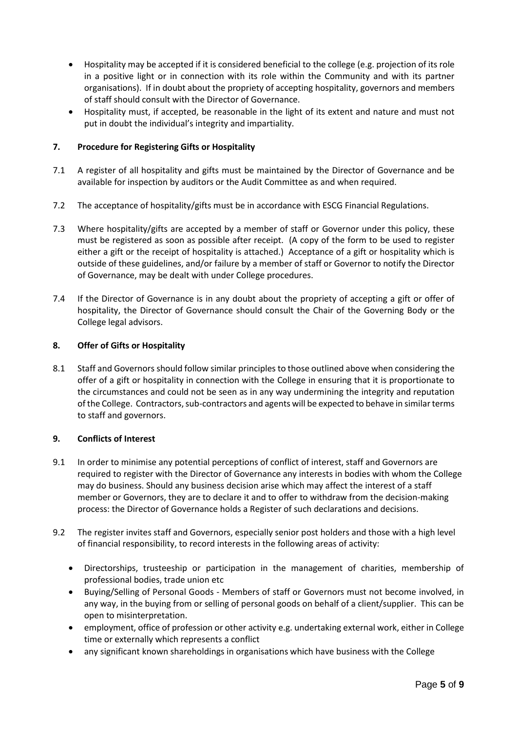- Hospitality may be accepted if it is considered beneficial to the college (e.g. projection of its role in a positive light or in connection with its role within the Community and with its partner organisations). If in doubt about the propriety of accepting hospitality, governors and members of staff should consult with the Director of Governance.
- Hospitality must, if accepted, be reasonable in the light of its extent and nature and must not put in doubt the individual's integrity and impartiality.

#### **7. Procedure for Registering Gifts or Hospitality**

- 7.1 A register of all hospitality and gifts must be maintained by the Director of Governance and be available for inspection by auditors or the Audit Committee as and when required.
- 7.2 The acceptance of hospitality/gifts must be in accordance with ESCG Financial Regulations.
- 7.3 Where hospitality/gifts are accepted by a member of staff or Governor under this policy, these must be registered as soon as possible after receipt. (A copy of the form to be used to register either a gift or the receipt of hospitality is attached.) Acceptance of a gift or hospitality which is outside of these guidelines, and/or failure by a member of staff or Governor to notify the Director of Governance, may be dealt with under College procedures.
- 7.4 If the Director of Governance is in any doubt about the propriety of accepting a gift or offer of hospitality, the Director of Governance should consult the Chair of the Governing Body or the College legal advisors.

#### **8. Offer of Gifts or Hospitality**

8.1 Staff and Governors should follow similar principles to those outlined above when considering the offer of a gift or hospitality in connection with the College in ensuring that it is proportionate to the circumstances and could not be seen as in any way undermining the integrity and reputation of the College. Contractors, sub-contractors and agents will be expected to behave in similar terms to staff and governors.

#### **9. Conflicts of Interest**

- 9.1 In order to minimise any potential perceptions of conflict of interest, staff and Governors are required to register with the Director of Governance any interests in bodies with whom the College may do business. Should any business decision arise which may affect the interest of a staff member or Governors, they are to declare it and to offer to withdraw from the decision-making process: the Director of Governance holds a Register of such declarations and decisions.
- 9.2 The register invites staff and Governors, especially senior post holders and those with a high level of financial responsibility, to record interests in the following areas of activity:
	- Directorships, trusteeship or participation in the management of charities, membership of professional bodies, trade union etc
	- Buying/Selling of Personal Goods Members of staff or Governors must not become involved, in any way, in the buying from or selling of personal goods on behalf of a client/supplier. This can be open to misinterpretation.
	- employment, office of profession or other activity e.g. undertaking external work, either in College time or externally which represents a conflict
	- any significant known shareholdings in organisations which have business with the College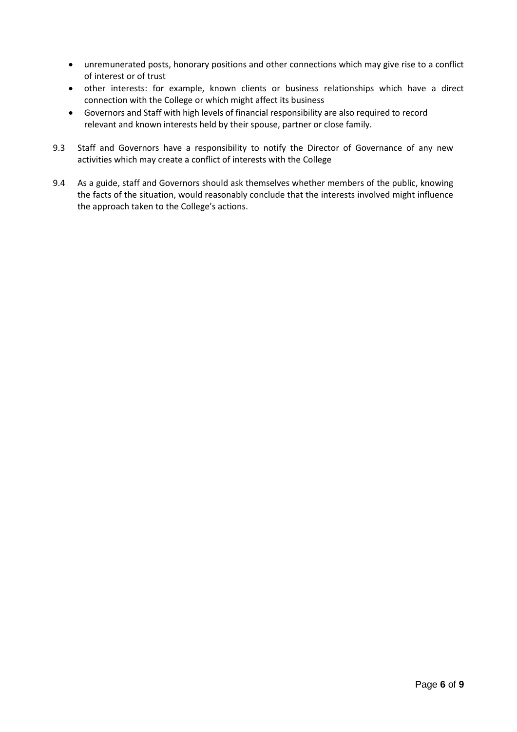- unremunerated posts, honorary positions and other connections which may give rise to a conflict of interest or of trust
- other interests: for example, known clients or business relationships which have a direct connection with the College or which might affect its business
- Governors and Staff with high levels of financial responsibility are also required to record relevant and known interests held by their spouse, partner or close family.
- 9.3 Staff and Governors have a responsibility to notify the Director of Governance of any new activities which may create a conflict of interests with the College
- 9.4 As a guide, staff and Governors should ask themselves whether members of the public, knowing the facts of the situation, would reasonably conclude that the interests involved might influence the approach taken to the College's actions.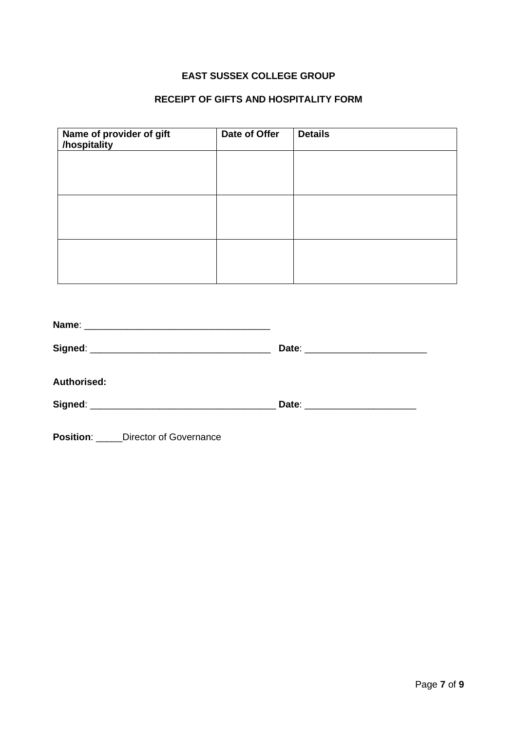### **EAST SUSSEX COLLEGE GROUP**

### **RECEIPT OF GIFTS AND HOSPITALITY FORM**

| Name of provider of gift<br>/hospitality | Date of Offer | <b>Details</b> |
|------------------------------------------|---------------|----------------|
|                                          |               |                |
|                                          |               |                |
|                                          |               |                |
|                                          |               |                |
|                                          |               |                |
|                                          |               |                |

|                    | Date: __________________________ |  |
|--------------------|----------------------------------|--|
| <b>Authorised:</b> |                                  |  |
|                    | Date: _______________________    |  |
|                    |                                  |  |

**Position**: \_\_\_\_\_Director of Governance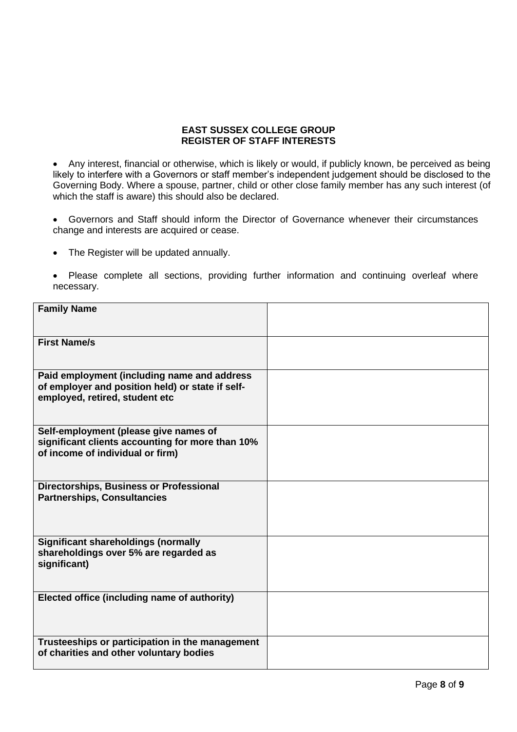#### **EAST SUSSEX COLLEGE GROUP REGISTER OF STAFF INTERESTS**

• Any interest, financial or otherwise, which is likely or would, if publicly known, be perceived as being likely to interfere with a Governors or staff member's independent judgement should be disclosed to the Governing Body. Where a spouse, partner, child or other close family member has any such interest (of which the staff is aware) this should also be declared.

• Governors and Staff should inform the Director of Governance whenever their circumstances change and interests are acquired or cease.

• The Register will be updated annually.

• Please complete all sections, providing further information and continuing overleaf where necessary.

| <b>Family Name</b>                                                                                                                |  |
|-----------------------------------------------------------------------------------------------------------------------------------|--|
|                                                                                                                                   |  |
| <b>First Name/s</b>                                                                                                               |  |
| Paid employment (including name and address<br>of employer and position held) or state if self-<br>employed, retired, student etc |  |
| Self-employment (please give names of<br>significant clients accounting for more than 10%<br>of income of individual or firm)     |  |
| Directorships, Business or Professional<br><b>Partnerships, Consultancies</b>                                                     |  |
| <b>Significant shareholdings (normally</b><br>shareholdings over 5% are regarded as<br>significant)                               |  |
| Elected office (including name of authority)                                                                                      |  |
| Trusteeships or participation in the management<br>of charities and other voluntary bodies                                        |  |